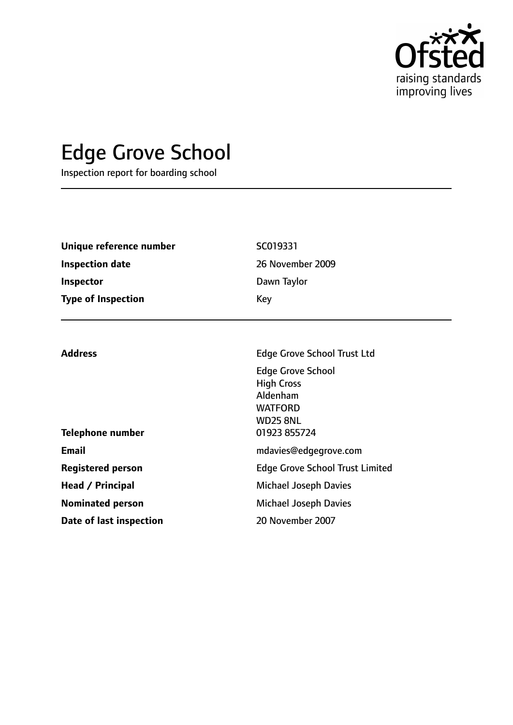

# Edge Grove School

Inspection report for boarding school

| Unique reference number   | SC019331         |  |
|---------------------------|------------------|--|
| <b>Inspection date</b>    | 26 November 2009 |  |
| Inspector                 | Dawn Taylor      |  |
| <b>Type of Inspection</b> | Key              |  |
|                           |                  |  |
|                           |                  |  |

| <b>Address</b>           | <b>Edge Grove School Trust Ltd</b>     |  |
|--------------------------|----------------------------------------|--|
|                          | <b>Edge Grove School</b>               |  |
|                          | <b>High Cross</b>                      |  |
|                          | Aldenham                               |  |
|                          | <b>WATFORD</b>                         |  |
|                          | <b>WD25 8NL</b>                        |  |
| <b>Telephone number</b>  | 01923 855724                           |  |
| <b>Email</b>             | mdavies@edgegrove.com                  |  |
| <b>Registered person</b> | <b>Edge Grove School Trust Limited</b> |  |
| Head / Principal         | <b>Michael Joseph Davies</b>           |  |
| <b>Nominated person</b>  | <b>Michael Joseph Davies</b>           |  |
| Date of last inspection  | 20 November 2007                       |  |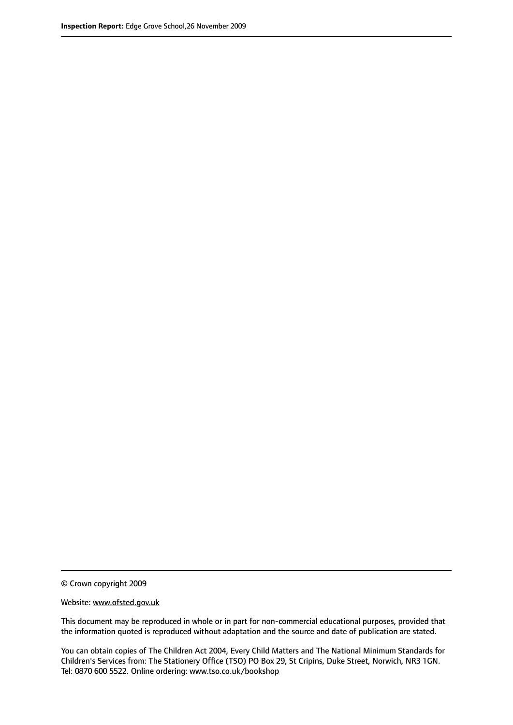© Crown copyright 2009

Website: www.ofsted.gov.uk

This document may be reproduced in whole or in part for non-commercial educational purposes, provided that the information quoted is reproduced without adaptation and the source and date of publication are stated.

You can obtain copies of The Children Act 2004, Every Child Matters and The National Minimum Standards for Children's Services from: The Stationery Office (TSO) PO Box 29, St Cripins, Duke Street, Norwich, NR3 1GN. Tel: 0870 600 5522. Online ordering: www.tso.co.uk/bookshop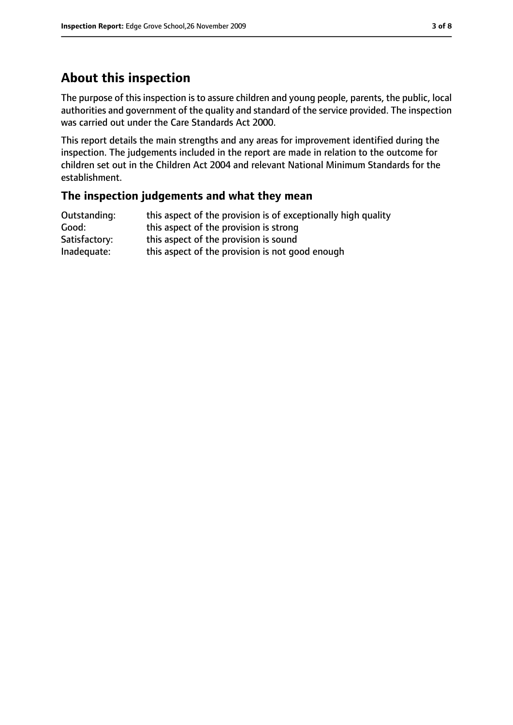# **About this inspection**

The purpose of this inspection is to assure children and young people, parents, the public, local authorities and government of the quality and standard of the service provided. The inspection was carried out under the Care Standards Act 2000.

This report details the main strengths and any areas for improvement identified during the inspection. The judgements included in the report are made in relation to the outcome for children set out in the Children Act 2004 and relevant National Minimum Standards for the establishment.

#### **The inspection judgements and what they mean**

| Outstanding:  | this aspect of the provision is of exceptionally high quality |
|---------------|---------------------------------------------------------------|
| Good:         | this aspect of the provision is strong                        |
| Satisfactory: | this aspect of the provision is sound                         |
| Inadequate:   | this aspect of the provision is not good enough               |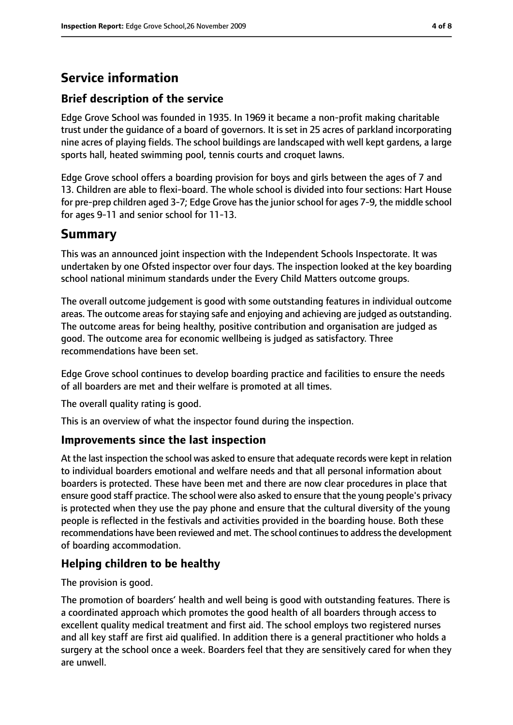# **Service information**

## **Brief description of the service**

Edge Grove School was founded in 1935. In 1969 it became a non-profit making charitable trust under the guidance of a board of governors. It is set in 25 acres of parkland incorporating nine acres of playing fields. The school buildings are landscaped with well kept gardens, a large sports hall, heated swimming pool, tennis courts and croquet lawns.

Edge Grove school offers a boarding provision for boys and girls between the ages of 7 and 13. Children are able to flexi-board. The whole school is divided into four sections: Hart House for pre-prep children aged 3-7; Edge Grove has the junior school for ages 7-9, the middle school for ages 9-11 and senior school for 11-13.

# **Summary**

This was an announced joint inspection with the Independent Schools Inspectorate. It was undertaken by one Ofsted inspector over four days. The inspection looked at the key boarding school national minimum standards under the Every Child Matters outcome groups.

The overall outcome judgement is good with some outstanding features in individual outcome areas. The outcome areas for staying safe and enjoying and achieving are judged as outstanding. The outcome areas for being healthy, positive contribution and organisation are judged as good. The outcome area for economic wellbeing is judged as satisfactory. Three recommendations have been set.

Edge Grove school continues to develop boarding practice and facilities to ensure the needs of all boarders are met and their welfare is promoted at all times.

The overall quality rating is good.

This is an overview of what the inspector found during the inspection.

#### **Improvements since the last inspection**

At the last inspection the school was asked to ensure that adequate records were kept in relation to individual boarders emotional and welfare needs and that all personal information about boarders is protected. These have been met and there are now clear procedures in place that ensure good staff practice. The school were also asked to ensure that the young people's privacy is protected when they use the pay phone and ensure that the cultural diversity of the young people is reflected in the festivals and activities provided in the boarding house. Both these recommendations have been reviewed and met. The school continues to address the development of boarding accommodation.

## **Helping children to be healthy**

The provision is good.

The promotion of boarders' health and well being is good with outstanding features. There is a coordinated approach which promotes the good health of all boarders through access to excellent quality medical treatment and first aid. The school employs two registered nurses and all key staff are first aid qualified. In addition there is a general practitioner who holds a surgery at the school once a week. Boarders feel that they are sensitively cared for when they are unwell.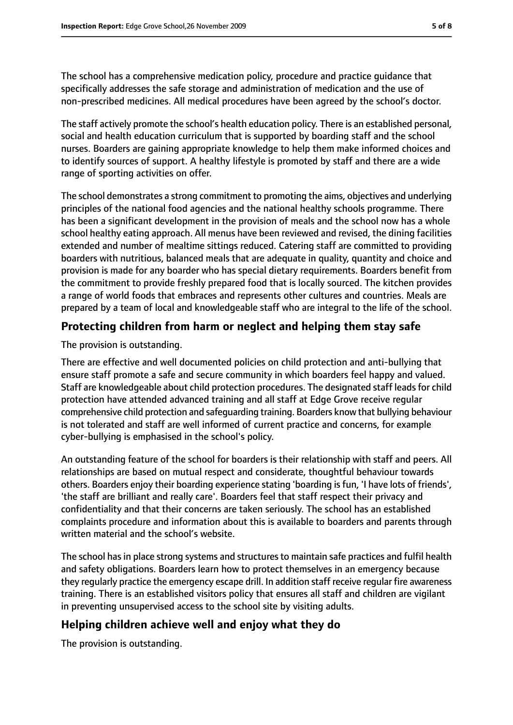The school has a comprehensive medication policy, procedure and practice guidance that specifically addresses the safe storage and administration of medication and the use of non-prescribed medicines. All medical procedures have been agreed by the school's doctor.

The staff actively promote the school's health education policy. There is an established personal, social and health education curriculum that is supported by boarding staff and the school nurses. Boarders are gaining appropriate knowledge to help them make informed choices and to identify sources of support. A healthy lifestyle is promoted by staff and there are a wide range of sporting activities on offer.

The school demonstrates a strong commitment to promoting the aims, objectives and underlying principles of the national food agencies and the national healthy schools programme. There has been a significant development in the provision of meals and the school now has a whole school healthy eating approach. All menus have been reviewed and revised, the dining facilities extended and number of mealtime sittings reduced. Catering staff are committed to providing boarders with nutritious, balanced meals that are adequate in quality, quantity and choice and provision is made for any boarder who has special dietary requirements. Boarders benefit from the commitment to provide freshly prepared food that is locally sourced. The kitchen provides a range of world foods that embraces and represents other cultures and countries. Meals are prepared by a team of local and knowledgeable staff who are integral to the life of the school.

## **Protecting children from harm or neglect and helping them stay safe**

#### The provision is outstanding.

There are effective and well documented policies on child protection and anti-bullying that ensure staff promote a safe and secure community in which boarders feel happy and valued. Staff are knowledgeable about child protection procedures. The designated staff leads for child protection have attended advanced training and all staff at Edge Grove receive regular comprehensive child protection and safeguarding training. Boarders know that bullying behaviour is not tolerated and staff are well informed of current practice and concerns, for example cyber-bullying is emphasised in the school's policy.

An outstanding feature of the school for boarders is their relationship with staff and peers. All relationships are based on mutual respect and considerate, thoughtful behaviour towards others. Boarders enjoy their boarding experience stating 'boarding is fun, 'I have lots of friends', 'the staff are brilliant and really care'. Boarders feel that staff respect their privacy and confidentiality and that their concerns are taken seriously. The school has an established complaints procedure and information about this is available to boarders and parents through written material and the school's website.

The school has in place strong systems and structures to maintain safe practices and fulfil health and safety obligations. Boarders learn how to protect themselves in an emergency because they regularly practice the emergency escape drill. In addition staff receive regular fire awareness training. There is an established visitors policy that ensures all staff and children are vigilant in preventing unsupervised access to the school site by visiting adults.

## **Helping children achieve well and enjoy what they do**

The provision is outstanding.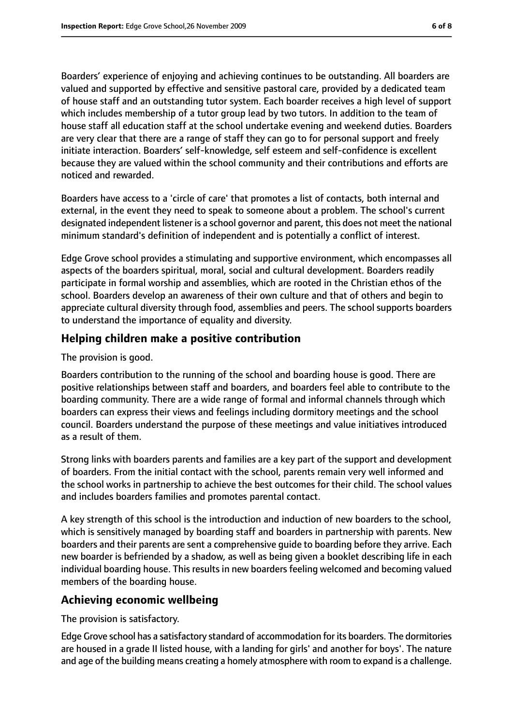Boarders' experience of enjoying and achieving continues to be outstanding. All boarders are valued and supported by effective and sensitive pastoral care, provided by a dedicated team of house staff and an outstanding tutor system. Each boarder receives a high level of support which includes membership of a tutor group lead by two tutors. In addition to the team of house staff all education staff at the school undertake evening and weekend duties. Boarders are very clear that there are a range of staff they can go to for personal support and freely initiate interaction. Boarders' self-knowledge, self esteem and self-confidence is excellent because they are valued within the school community and their contributions and efforts are noticed and rewarded.

Boarders have access to a 'circle of care' that promotes a list of contacts, both internal and external, in the event they need to speak to someone about a problem. The school's current designated independent listener is a school governor and parent, this does not meet the national minimum standard's definition of independent and is potentially a conflict of interest.

Edge Grove school provides a stimulating and supportive environment, which encompasses all aspects of the boarders spiritual, moral, social and cultural development. Boarders readily participate in formal worship and assemblies, which are rooted in the Christian ethos of the school. Boarders develop an awareness of their own culture and that of others and begin to appreciate cultural diversity through food, assemblies and peers. The school supports boarders to understand the importance of equality and diversity.

## **Helping children make a positive contribution**

The provision is good.

Boarders contribution to the running of the school and boarding house is good. There are positive relationships between staff and boarders, and boarders feel able to contribute to the boarding community. There are a wide range of formal and informal channels through which boarders can express their views and feelings including dormitory meetings and the school council. Boarders understand the purpose of these meetings and value initiatives introduced as a result of them.

Strong links with boarders parents and families are a key part of the support and development of boarders. From the initial contact with the school, parents remain very well informed and the school works in partnership to achieve the best outcomes for their child. The school values and includes boarders families and promotes parental contact.

A key strength of this school is the introduction and induction of new boarders to the school, which is sensitively managed by boarding staff and boarders in partnership with parents. New boarders and their parents are sent a comprehensive guide to boarding before they arrive. Each new boarder is befriended by a shadow, as well as being given a booklet describing life in each individual boarding house. This results in new boarders feeling welcomed and becoming valued members of the boarding house.

### **Achieving economic wellbeing**

The provision is satisfactory.

Edge Grove school has a satisfactory standard of accommodation for its boarders. The dormitories are housed in a grade II listed house, with a landing for girls' and another for boys'. The nature and age of the building means creating a homely atmosphere with room to expand is a challenge.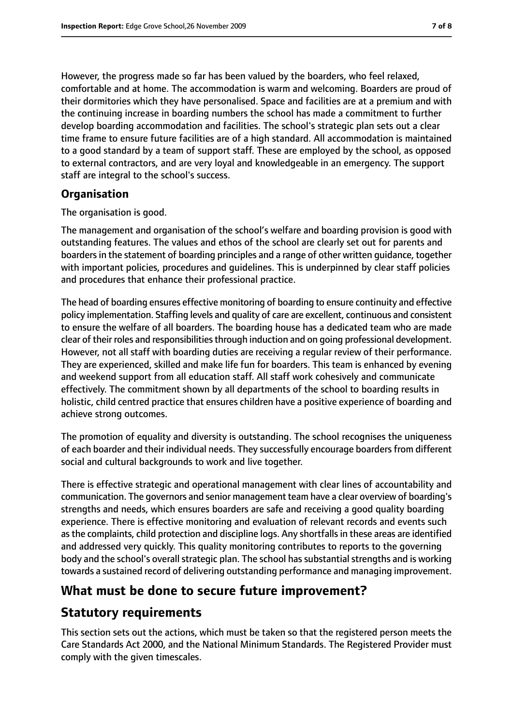However, the progress made so far has been valued by the boarders, who feel relaxed, comfortable and at home. The accommodation is warm and welcoming. Boarders are proud of their dormitories which they have personalised. Space and facilities are at a premium and with the continuing increase in boarding numbers the school has made a commitment to further develop boarding accommodation and facilities. The school's strategic plan sets out a clear time frame to ensure future facilities are of a high standard. All accommodation is maintained to a good standard by a team of support staff. These are employed by the school, as opposed to external contractors, and are very loyal and knowledgeable in an emergency. The support staff are integral to the school's success.

#### **Organisation**

The organisation is good.

The management and organisation of the school's welfare and boarding provision is good with outstanding features. The values and ethos of the school are clearly set out for parents and boarders in the statement of boarding principles and a range of other written guidance, together with important policies, procedures and guidelines. This is underpinned by clear staff policies and procedures that enhance their professional practice.

The head of boarding ensures effective monitoring of boarding to ensure continuity and effective policy implementation. Staffing levels and quality of care are excellent, continuous and consistent to ensure the welfare of all boarders. The boarding house has a dedicated team who are made clear of their roles and responsibilitiesthrough induction and on going professional development. However, not all staff with boarding duties are receiving a regular review of their performance. They are experienced, skilled and make life fun for boarders. This team is enhanced by evening and weekend support from all education staff. All staff work cohesively and communicate effectively. The commitment shown by all departments of the school to boarding results in holistic, child centred practice that ensures children have a positive experience of boarding and achieve strong outcomes.

The promotion of equality and diversity is outstanding. The school recognises the uniqueness of each boarder and their individual needs. They successfully encourage boardersfrom different social and cultural backgrounds to work and live together.

There is effective strategic and operational management with clear lines of accountability and communication. The governors and senior management team have a clear overview of boarding's strengths and needs, which ensures boarders are safe and receiving a good quality boarding experience. There is effective monitoring and evaluation of relevant records and events such as the complaints, child protection and discipline logs. Any shortfalls in these areas are identified and addressed very quickly. This quality monitoring contributes to reports to the governing body and the school's overall strategic plan. The school has substantial strengths and is working towards a sustained record of delivering outstanding performance and managing improvement.

# **What must be done to secure future improvement?**

# **Statutory requirements**

This section sets out the actions, which must be taken so that the registered person meets the Care Standards Act 2000, and the National Minimum Standards. The Registered Provider must comply with the given timescales.